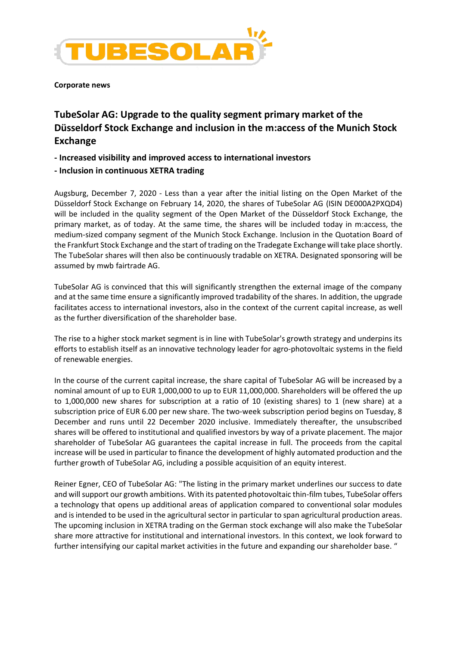

**Corporate news** 

## **TubeSolar AG: Upgrade to the quality segment primary market of the Düsseldorf Stock Exchange and inclusion in the m:access of the Munich Stock Exchange**

**- Increased visibility and improved access to international investors** 

## **- Inclusion in continuous XETRA trading**

Augsburg, December 7, 2020 - Less than a year after the initial listing on the Open Market of the Düsseldorf Stock Exchange on February 14, 2020, the shares of TubeSolar AG (ISIN DE000A2PXQD4) will be included in the quality segment of the Open Market of the Düsseldorf Stock Exchange, the primary market, as of today. At the same time, the shares will be included today in m:access, the medium-sized company segment of the Munich Stock Exchange. Inclusion in the Quotation Board of the Frankfurt Stock Exchange and the start of trading on the Tradegate Exchange will take place shortly. The TubeSolar shares will then also be continuously tradable on XETRA. Designated sponsoring will be assumed by mwb fairtrade AG.

TubeSolar AG is convinced that this will significantly strengthen the external image of the company and at the same time ensure a significantly improved tradability of the shares. In addition, the upgrade facilitates access to international investors, also in the context of the current capital increase, as well as the further diversification of the shareholder base.

The rise to a higher stock market segment is in line with TubeSolar's growth strategy and underpins its efforts to establish itself as an innovative technology leader for agro-photovoltaic systems in the field of renewable energies.

In the course of the current capital increase, the share capital of TubeSolar AG will be increased by a nominal amount of up to EUR 1,000,000 to up to EUR 11,000,000. Shareholders will be offered the up to 1,000,000 new shares for subscription at a ratio of 10 (existing shares) to 1 (new share) at a subscription price of EUR 6.00 per new share. The two-week subscription period begins on Tuesday, 8 December and runs until 22 December 2020 inclusive. Immediately thereafter, the unsubscribed shares will be offered to institutional and qualified investors by way of a private placement. The major shareholder of TubeSolar AG guarantees the capital increase in full. The proceeds from the capital increase will be used in particular to finance the development of highly automated production and the further growth of TubeSolar AG, including a possible acquisition of an equity interest.

Reiner Egner, CEO of TubeSolar AG: "The listing in the primary market underlines our success to date and will support our growth ambitions. With its patented photovoltaic thin-film tubes, TubeSolar offers a technology that opens up additional areas of application compared to conventional solar modules and is intended to be used in the agricultural sector in particular to span agricultural production areas. The upcoming inclusion in XETRA trading on the German stock exchange will also make the TubeSolar share more attractive for institutional and international investors. In this context, we look forward to further intensifying our capital market activities in the future and expanding our shareholder base. "